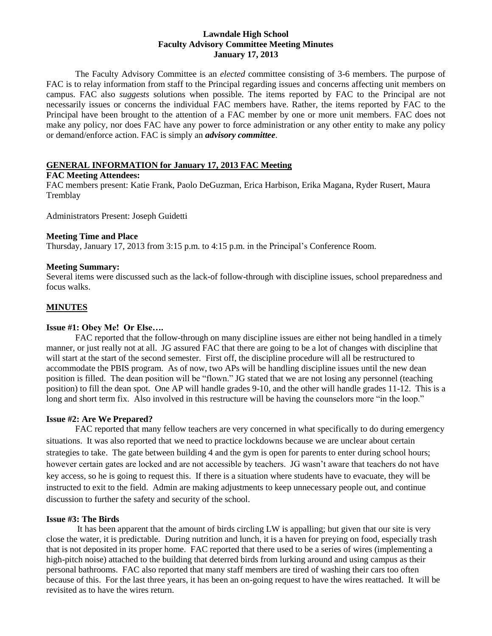#### **Lawndale High School Faculty Advisory Committee Meeting Minutes January 17, 2013**

The Faculty Advisory Committee is an *elected* committee consisting of 3-6 members. The purpose of FAC is to relay information from staff to the Principal regarding issues and concerns affecting unit members on campus. FAC also *suggests* solutions when possible. The items reported by FAC to the Principal are not necessarily issues or concerns the individual FAC members have. Rather, the items reported by FAC to the Principal have been brought to the attention of a FAC member by one or more unit members. FAC does not make any policy, nor does FAC have any power to force administration or any other entity to make any policy or demand/enforce action. FAC is simply an *advisory committee*.

## **GENERAL INFORMATION for January 17, 2013 FAC Meeting**

#### **FAC Meeting Attendees:**

FAC members present: Katie Frank, Paolo DeGuzman, Erica Harbison, Erika Magana, Ryder Rusert, Maura **Tremblay** 

Administrators Present: Joseph Guidetti

## **Meeting Time and Place**

Thursday, January 17, 2013 from 3:15 p.m. to 4:15 p.m. in the Principal's Conference Room.

## **Meeting Summary:**

Several items were discussed such as the lack-of follow-through with discipline issues, school preparedness and focus walks.

# **MINUTES**

## **Issue #1: Obey Me! Or Else….**

FAC reported that the follow-through on many discipline issues are either not being handled in a timely manner, or just really not at all. JG assured FAC that there are going to be a lot of changes with discipline that will start at the start of the second semester. First off, the discipline procedure will all be restructured to accommodate the PBIS program. As of now, two APs will be handling discipline issues until the new dean position is filled. The dean position will be "flown." JG stated that we are not losing any personnel (teaching position) to fill the dean spot. One AP will handle grades 9-10, and the other will handle grades 11-12. This is a long and short term fix. Also involved in this restructure will be having the counselors more "in the loop."

#### **Issue #2: Are We Prepared?**

FAC reported that many fellow teachers are very concerned in what specifically to do during emergency situations. It was also reported that we need to practice lockdowns because we are unclear about certain strategies to take. The gate between building 4 and the gym is open for parents to enter during school hours; however certain gates are locked and are not accessible by teachers. JG wasn't aware that teachers do not have key access, so he is going to request this. If there is a situation where students have to evacuate, they will be instructed to exit to the field. Admin are making adjustments to keep unnecessary people out, and continue discussion to further the safety and security of the school.

## **Issue #3: The Birds**

It has been apparent that the amount of birds circling LW is appalling; but given that our site is very close the water, it is predictable. During nutrition and lunch, it is a haven for preying on food, especially trash that is not deposited in its proper home. FAC reported that there used to be a series of wires (implementing a high-pitch noise) attached to the building that deterred birds from lurking around and using campus as their personal bathrooms. FAC also reported that many staff members are tired of washing their cars too often because of this. For the last three years, it has been an on-going request to have the wires reattached. It will be revisited as to have the wires return.